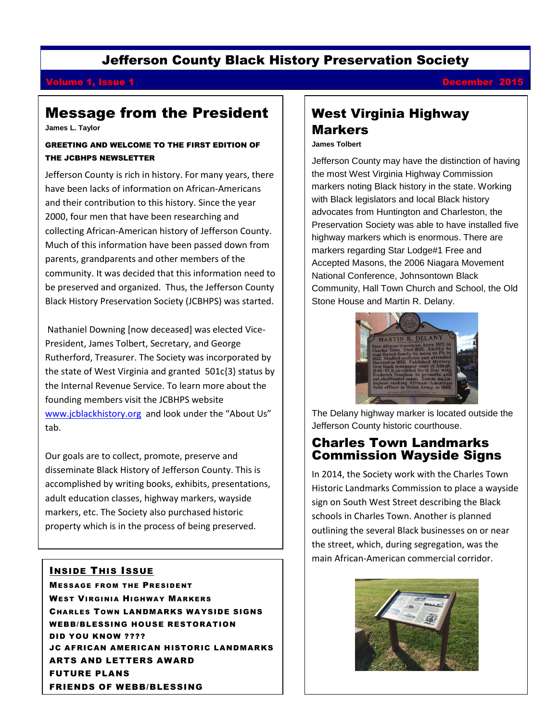# Jefferson County Black History Preservation Society

# **Volume 1, Issue 1** December 2015

# Message from the President

**James L. Taylor**

#### GREETING AND WELCOME TO THE FIRST EDITION OF THE JCBHPS NEWSLETTER

Jefferson County is rich in history. For many years, there have been lacks of information on African-Americans and their contribution to this history. Since the year 2000, four men that have been researching and collecting African-American history of Jefferson County. Much of this information have been passed down from parents, grandparents and other members of the community. It was decided that this information need to be preserved and organized. Thus, the Jefferson County Black History Preservation Society (JCBHPS) was started.

Nathaniel Downing [now deceased] was elected Vice-President, James Tolbert, Secretary, and George Rutherford, Treasurer. The Society was incorporated by the state of West Virginia and granted 501c{3} status by the Internal Revenue Service. To learn more about the founding members visit the JCBHPS website [www.jcblackhistory.org](http://www.jcblackhistory.org/) and look under the "About Us" tab.

Our goals are to collect, promote, preserve and disseminate Black History of Jefferson County. This is accomplished by writing books, exhibits, presentations, adult education classes, highway markers, wayside markers, etc. The Society also purchased historic property which is in the process of being preserved.

## INSIDE THIS ISSUE

MESSAGE FROM THE PRESIDENT WEST VIRGINIA HIGHWAY MARKERS CHARLES TOWN LANDMARKS WAYSIDE SIGNS WEBB/BLESSING HOUSE RESTORATION DID YOU KNOW ???? JC AFRICAN AMERICAN HISTORIC LANDMARKS ARTS AND LETTERS AWARD FUTURE PLANS FRIENDS OF WEBB/BLESSING

# West Virginia Highway Markers

**James Tolbert**

Jefferson County may have the distinction of having the most West Virginia Highway Commission markers noting Black history in the state. Working with Black legislators and local Black history advocates from Huntington and Charleston, the Preservation Society was able to have installed five highway markers which is enormous. There are markers regarding Star Lodge#1 Free and Accepted Masons, the 2006 Niagara Movement National Conference, Johnsontown Black Community, Hall Town Church and School, the Old Stone House and Martin R. Delany.



The Delany highway marker is located outside the Jefferson County historic courthouse.

# Charles Town Landmarks Commission Wayside Signs

In 2014, the Society work with the Charles Town Historic Landmarks Commission to place a wayside sign on South West Street describing the Black schools in Charles Town. Another is planned outlining the several Black businesses on or near the street, which, during segregation, was the main African-American commercial corridor.

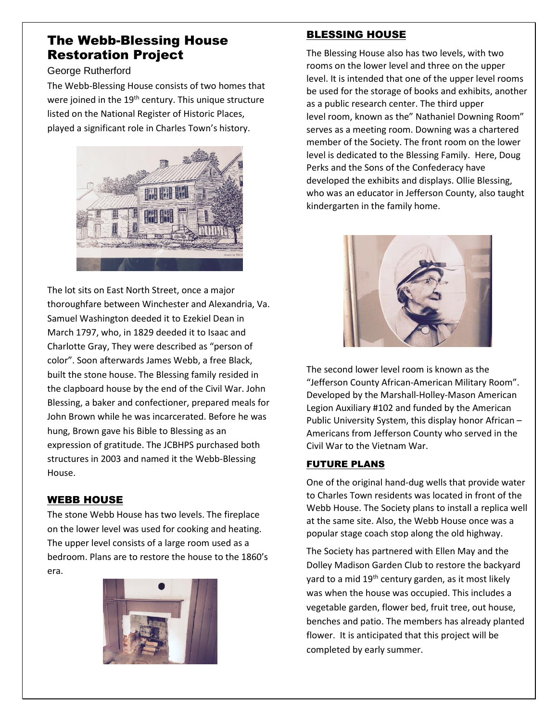# The Webb-Blessing House Restoration Project

### George Rutherford

The Webb-Blessing House consists of two homes that were joined in the 19<sup>th</sup> century. This unique structure listed on the National Register of Historic Places, played a significant role in Charles Town's history.



The lot sits on East North Street, once a major thoroughfare between Winchester and Alexandria, Va. Samuel Washington deeded it to Ezekiel Dean in March 1797, who, in 1829 deeded it to Isaac and Charlotte Gray, They were described as "person of color". Soon afterwards James Webb, a free Black, built the stone house. The Blessing family resided in the clapboard house by the end of the Civil War. John Blessing, a baker and confectioner, prepared meals for John Brown while he was incarcerated. Before he was hung, Brown gave his Bible to Blessing as an expression of gratitude. The JCBHPS purchased both structures in 2003 and named it the Webb-Blessing House.

## WEBB HOUSE

The stone Webb House has two levels. The fireplace on the lower level was used for cooking and heating. The upper level consists of a large room used as a bedroom. Plans are to restore the house to the 1860's era.



# BLESSING HOUSE

The Blessing House also has two levels, with two rooms on the lower level and three on the upper level. It is intended that one of the upper level rooms be used for the storage of books and exhibits, another as a public research center. The third upper level room, known as the" Nathaniel Downing Room" serves as a meeting room. Downing was a chartered member of the Society. The front room on the lower level is dedicated to the Blessing Family. Here, Doug Perks and the Sons of the Confederacy have developed the exhibits and displays. Ollie Blessing, who was an educator in Jefferson County, also taught kindergarten in the family home.



The second lower level room is known as the "Jefferson County African-American Military Room". Developed by the Marshall-Holley-Mason American Legion Auxiliary #102 and funded by the American Public University System, this display honor African – Americans from Jefferson County who served in the Civil War to the Vietnam War.

## FUTURE PLANS

One of the original hand-dug wells that provide water to Charles Town residents was located in front of the Webb House. The Society plans to install a replica well at the same site. Also, the Webb House once was a popular stage coach stop along the old highway.

The Society has partnered with Ellen May and the Dolley Madison Garden Club to restore the backyard yard to a mid 19<sup>th</sup> century garden, as it most likely was when the house was occupied. This includes a vegetable garden, flower bed, fruit tree, out house, benches and patio. The members has already planted flower. It is anticipated that this project will be completed by early summer.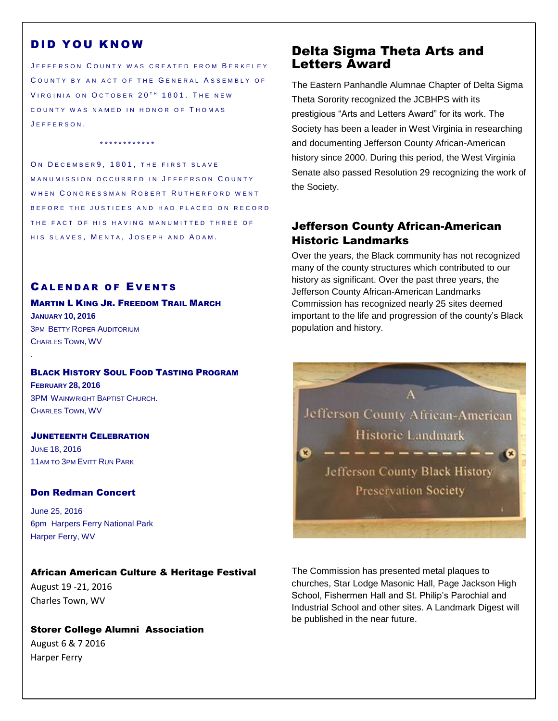## DID YOU KNOW

JEFFERSON COUNTY WAS CREATED FROM BERKELEY COUNTY BY AN ACT OF THE GENERAL ASSEMBLY OF VIRGINIA ON OCTOBER 20<sup>TH</sup> 1801. THE NEW COUNTY WAS NAMED IN HONOR OF THOMAS J E F F E R S O N .

\* \* \* \* \* \* \* \* \* \* \* \*

ON DECEMBER 9, 1801, THE FIRST SLAVE MANUMISSION OCCURRED IN JEFFERSON COUNTY WHEN CONGRESSMAN ROBERT RUTHERFORD WENT B E FORE THE JUSTICES AND HAD PLACED ON RECORD THE FACT OF HIS HAVING MANUMITTED THREE OF HIS SLAVES, MENTA, JOSEPH AND ADAM.

#### **CALENDAR OF EVENTS**

### MARTIN L KING JR. FREEDOM TRAIL MARCH **JANUARY 10, 2016** 3PM BETTY ROPER AUDITORIUM CHARLES TOWN, WV

### **BLACK HISTORY SOUL FOOD TASTING PROGRAM**

**FEBRUARY 28, 2016** 3PM WAINWRIGHT BAPTIST CHURCH. CHARLES TOWN, WV

.

### JUNETEENTH CELEBRATION JUNE 18, 2016 11AM TO 3PM EVITT RUN PARK

#### Don Redman Concert

June 25, 2016 6pm Harpers Ferry National Park Harper Ferry, WV

#### African American Culture & Heritage Festival

August 19 -21, 2016 Charles Town, WV

Storer College Alumni Association August 6 & 7 2016 Harper Ferry

# Delta Sigma Theta Arts and Letters Award

The Eastern Panhandle Alumnae Chapter of Delta Sigma Theta Sorority recognized the JCBHPS with its prestigious "Arts and Letters Award" for its work. The Society has been a leader in West Virginia in researching and documenting Jefferson County African-American history since 2000. During this period, the West Virginia Senate also passed Resolution 29 recognizing the work of the Society.

## Jefferson County African-American Historic Landmarks

Over the years, the Black community has not recognized many of the county structures which contributed to our history as significant. Over the past three years, the Jefferson County African-American Landmarks Commission has recognized nearly 25 sites deemed important to the life and progression of the county's Black population and history.



The Commission has presented metal plaques to churches, Star Lodge Masonic Hall, Page Jackson High School, Fishermen Hall and St. Philip's Parochial and Industrial School and other sites. A Landmark Digest will be published in the near future.